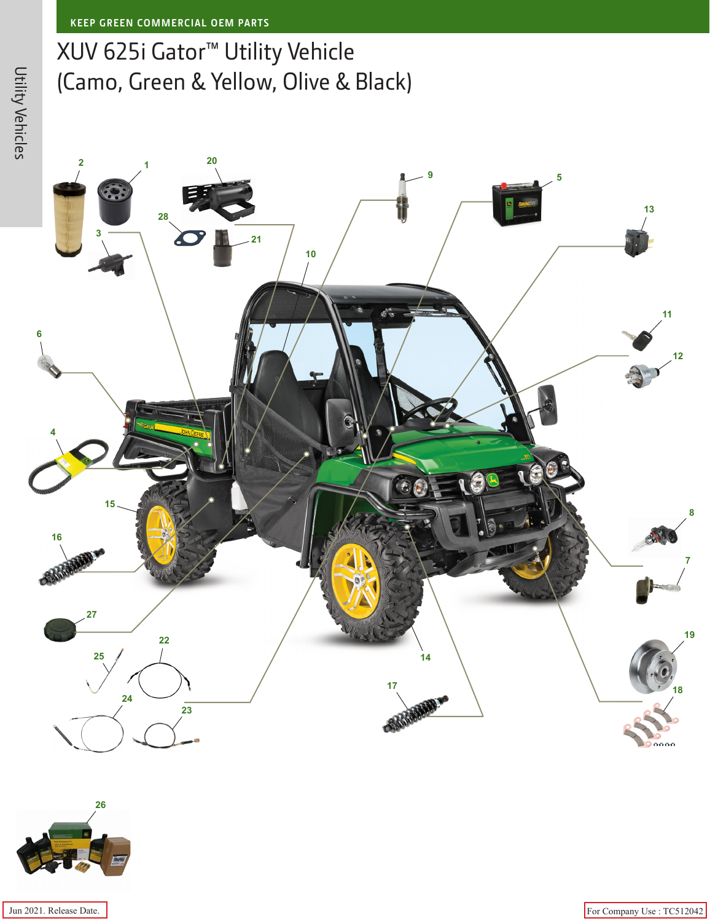## XUV 625i Gator™ Utility Vehicle (Camo, Green & Yellow, Olive & Black)